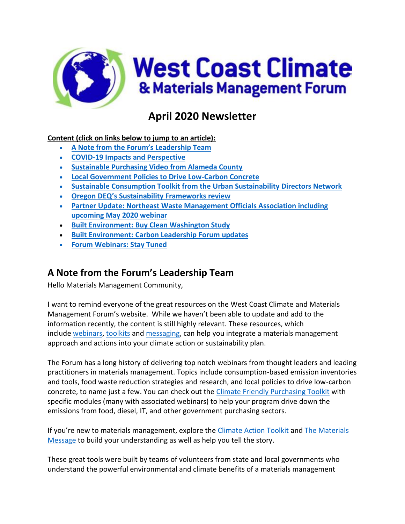

# **April 2020 Newsletter**

### **Content (click on links below to jump to an article):**

- **A Note from the Forum's [Leadership Team](#page-0-0)**
- **[COVID-19 Impacts](#page-1-0) and Perspective**
- **Sustainable Purchasing [Video from Alameda County](#page-2-0)**
- **[Local Government Policies to Drive Low-Carbon Concrete](#page-3-0)**
- **[Sustainable Consumption Toolkit from the Urban Sustainability Directors Network](#page-4-0)**
- **[Oregon DEQ's Sustainability Frameworks](#page-5-0) review**
- **[Partner Update: Northeast Waste Management Officials Association including](#page-6-0)  [upcoming May 2020 webinar](#page-6-0)**
- **Built Environment: [Buy Clean Washington Study](#page-9-0)**
- **Built Environment: [Carbon Leadership Forum updates](#page-9-1)**
- **[Forum Webinars: Stay Tuned](#page-10-0)**

# <span id="page-0-0"></span>**A Note from the Forum's Leadership Team**

Hello Materials Management Community,

I want to remind everyone of the great resources on the West Coast Climate and Materials Management Forum's website. While we haven't been able to update and add to the information recently, the content is still highly relevant. These resources, which include [webinars,](https://westcoastclimateforum.com/resources/webinars/) [toolkits](https://westcoastclimateforum.com/resources/products) and [messaging,](https://westcoastclimateforum.com/materials) can help you integrate a materials management approach and actions into your climate action or sustainability plan.

The Forum has a long history of delivering top notch webinars from thought leaders and leading practitioners in materials management. Topics include consumption-based emission inventories and tools, food waste reduction strategies and research, and local policies to drive low-carbon concrete, to name just a few. You can check out the [Climate Friendly Purchasing Toolkit](https://westcoastclimateforum.com/cfpt) with specific modules (many with associated webinars) to help your program drive down the emissions from food, diesel, IT, and other government purchasing sectors.

If you're new to materials management, explore the [Climate Action Toolkit](https://westcoastclimateforum.com/toolkit/homepage) and [The Materials](https://westcoastclimateforum.com/materials)  [Message](https://westcoastclimateforum.com/materials) to build your understanding as well as help you tell the story.

These great tools were built by teams of volunteers from state and local governments who understand the powerful environmental and climate benefits of a materials management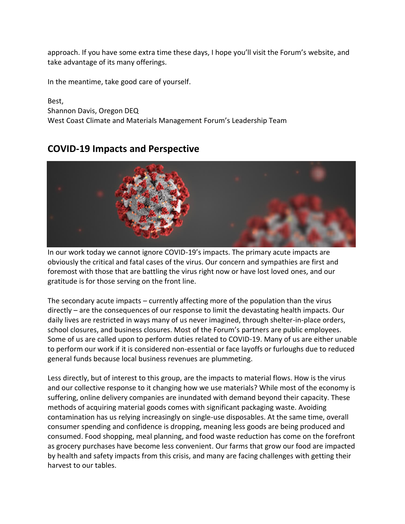approach. If you have some extra time these days, I hope you'll visit the Forum's website, and take advantage of its many offerings.

In the meantime, take good care of yourself.

Best, Shannon Davis, Oregon DEQ West Coast Climate and Materials Management Forum's Leadership Team

## **COVID-19 Impacts and Perspective**

<span id="page-1-0"></span>

In our work today we cannot ignore COVID-19's impacts. The primary acute impacts are obviously the critical and fatal cases of the virus. Our concern and sympathies are first and foremost with those that are battling the virus right now or have lost loved ones, and our gratitude is for those serving on the front line.

The secondary acute impacts – currently affecting more of the population than the virus directly – are the consequences of our response to limit the devastating health impacts. Our daily lives are restricted in ways many of us never imagined, through shelter-in-place orders, school closures, and business closures. Most of the Forum's partners are public employees. Some of us are called upon to perform duties related to COVID-19. Many of us are either unable to perform our work if it is considered non-essential or face layoffs or furloughs due to reduced general funds because local business revenues are plummeting.

Less directly, but of interest to this group, are the impacts to material flows. How is the virus and our collective response to it changing how we use materials? While most of the economy is suffering, online delivery companies are inundated with demand beyond their capacity. These methods of acquiring material goods comes with significant packaging waste. Avoiding contamination has us relying increasingly on single-use disposables. At the same time, overall consumer spending and confidence is dropping, meaning less goods are being produced and consumed. Food shopping, meal planning, and food waste reduction has come on the forefront as grocery purchases have become less convenient. Our farms that grow our food are impacted by health and safety impacts from this crisis, and many are facing challenges with getting their harvest to our tables.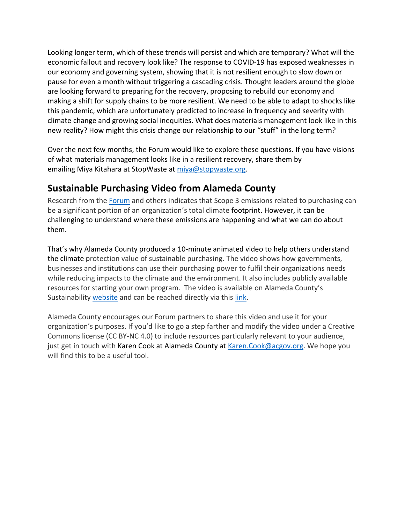Looking longer term, which of these trends will persist and which are temporary? What will the economic fallout and recovery look like? The response to COVID-19 has exposed weaknesses in our economy and governing system, showing that it is not resilient enough to slow down or pause for even a month without triggering a cascading crisis. Thought leaders around the globe are looking forward to preparing for the recovery, proposing to rebuild our economy and making a shift for supply chains to be more resilient. We need to be able to adapt to shocks like this pandemic, which are unfortunately predicted to increase in frequency and severity with climate change and growing social inequities. What does materials management look like in this new reality? How might this crisis change our relationship to our "stuff" in the long term?

Over the next few months, the Forum would like to explore these questions. If you have visions of what materials management looks like in a resilient recovery, share them by emailing Miya Kitahara at StopWaste at [miya@stopwaste.org.](mailto:miya@stopwaste.org)

# <span id="page-2-0"></span>**Sustainable Purchasing Video from Alameda County**

Research from the [Forum](https://westcoastclimateforum.com/cfpt) and others indicates that Scope 3 emissions related to purchasing can be a significant portion of an organization's total climate footprint. However, it can be challenging to understand where these emissions are happening and what we can do about them.

That's why Alameda County produced a 10-minute animated video to help others understand the climate protection value of sustainable purchasing. The video shows how governments, businesses and institutions can use their purchasing power to fulfil their organizations needs while reducing impacts to the climate and the environment. It also includes publicly available resources for starting your own program. The video is available on Alameda County's Sustainability [website](http://www.acgov.org/sustain/what/purchasing/resources.htm) and can be reached directly via this [link.](https://youtu.be/C0GQSxZeGsY)

Alameda County encourages our Forum partners to share this video and use it for your organization's purposes. If you'd like to go a step farther and modify the video under a Creative Commons license (CC BY-NC 4.0) to include resources particularly relevant to your audience, just get in touch with Karen Cook at Alameda County at [Karen.Cook@acgov.org.](mailto:Karen.Cook@acgov.org) We hope you will find this to be a useful tool.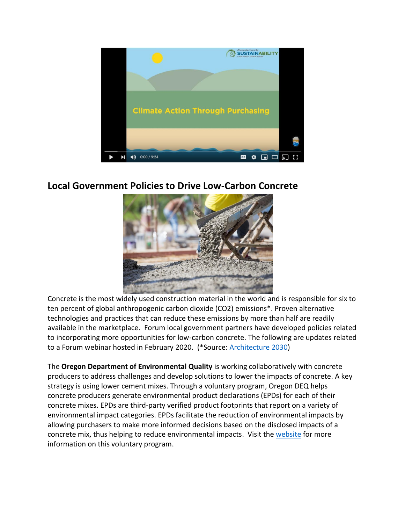

## <span id="page-3-0"></span>**Local Government Policies to Drive Low-Carbon Concrete**



Concrete is the most widely used construction material in the world and is responsible for six to ten percent of global anthropogenic carbon dioxide (CO2) emissions\*. Proven alternative technologies and practices that can reduce these emissions by more than half are readily available in the marketplace. Forum local government partners have developed policies related to incorporating more opportunities for low-carbon concrete. The following are updates related to a Forum webinar hosted in February 2020. (\*Source: [Architecture 2030\)](https://materialspalette.org/concrete/)

The **Oregon Department of Environmental Quality** is working collaboratively with concrete producers to address challenges and develop solutions to lower the impacts of concrete. A key strategy is using lower cement mixes. Through a voluntary program, Oregon DEQ helps concrete producers generate environmental product declarations (EPDs) for each of their concrete mixes. EPDs are third-party verified product footprints that report on a variety of environmental impact categories. EPDs facilitate the reduction of environmental impacts by allowing purchasers to make more informed decisions based on the disclosed impacts of a concrete mix, thus helping to reduce environmental impacts. Visit the [website](https://www.oregon.gov/deq/mm/production/Pages/Concrete.aspx) for more information on this voluntary program.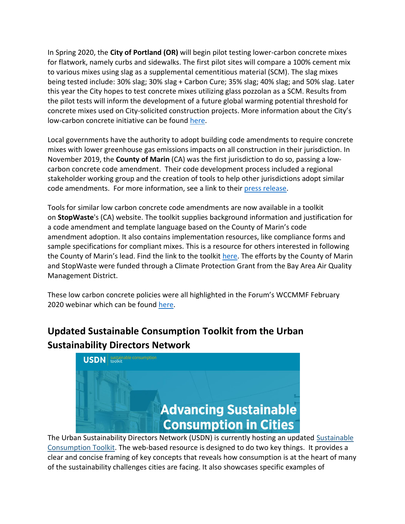In Spring 2020, the **City of Portland (OR)** will begin pilot testing lower-carbon concrete mixes for flatwork, namely curbs and sidewalks. The first pilot sites will compare a 100% cement mix to various mixes using slag as a supplemental cementitious material (SCM). The slag mixes being tested include: 30% slag; 30% slag + Carbon Cure; 35% slag; 40% slag; and 50% slag. Later this year the City hopes to test concrete mixes utilizing glass pozzolan as a SCM. Results from the pilot tests will inform the development of a future global warming potential threshold for concrete mixes used on City-solicited construction projects. More information about the City's low-carbon concrete initiative can be found [here.](https://www.portlandoregon.gov/brfs/79322)

Local governments have the authority to adopt building code amendments to require concrete mixes with lower greenhouse gas emissions impacts on all construction in their jurisdiction. In November 2019, the **County of Marin** (CA) was the first jurisdiction to do so, passing a lowcarbon concrete code amendment. Their code development process included a regional stakeholder working group and the creation of tools to help other jurisdictions adopt similar code amendments. For more information, see a link to their [press release.](https://www.marincounty.org/main/county-press-releases/press-releases/2019/cda-concrete-112019)

Tools for similar low carbon concrete code amendments are now available in a toolkit on **StopWaste**'s (CA) website. The toolkit supplies background information and justification for a code amendment and template language based on the County of Marin's code amendment adoption. It also contains implementation resources, like compliance forms and sample specifications for compliant mixes. This is a resource for others interested in following the County of Marin's lead. Find the link to the toolkit [here.](http://www.stopwaste.org/concrete) The efforts by the County of Marin and StopWaste were funded through a Climate Protection Grant from the Bay Area Air Quality Management District.

These low carbon concrete policies were all highlighted in the Forum's WCCMMF February 2020 webinar which can be found [here.](https://westcoastclimateforum.com/resources/webinars/)

# <span id="page-4-0"></span>**Updated Sustainable Consumption Toolkit from the Urban Sustainability Directors Network**



The Urban Sustainability Directors Network (USDN) is currently hosting an updated [Sustainable](https://sustainableconsumption.usdn.org/)  [Consumption Toolkit.](https://sustainableconsumption.usdn.org/) The web-based resource is designed to do two key things. It provides a clear and concise framing of key concepts that reveals how consumption is at the heart of many of the sustainability challenges cities are facing. It also showcases specific examples of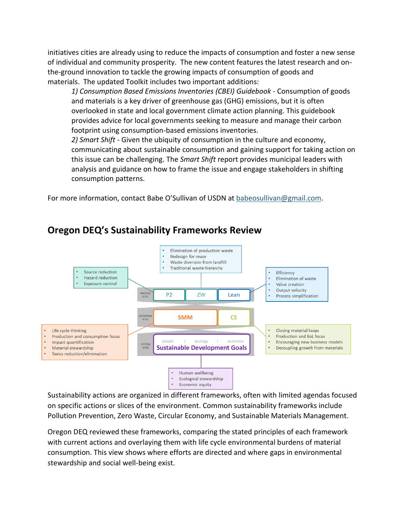initiatives cities are already using to reduce the impacts of consumption and foster a new sense of individual and community prosperity. The new content features the latest research and onthe-ground innovation to tackle the growing impacts of consumption of goods and materials. The updated Toolkit includes two important additions:

*1) Consumption Based Emissions Inventories (CBEI) Guidebook* - Consumption of goods and materials is a key driver of greenhouse gas (GHG) emissions, but it is often overlooked in state and local government climate action planning. This guidebook provides advice for local governments seeking to measure and manage their carbon footprint using consumption-based emissions inventories.

*2) Smart Shift* - Given the ubiquity of consumption in the culture and economy, communicating about sustainable consumption and gaining support for taking action on this issue can be challenging. The *Smart Shift* report provides municipal leaders with analysis and guidance on how to frame the issue and engage stakeholders in shifting consumption patterns.

For more information, contact Babe O'Sullivan of USDN at [babeosullivan@gmail.com.](mailto:babeosullivan@gmail.com)



## <span id="page-5-0"></span>**Oregon DEQ's Sustainability Frameworks Review**

Sustainability actions are organized in different frameworks, often with limited agendas focused on specific actions or slices of the environment. Common sustainability frameworks include Pollution Prevention, Zero Waste, Circular Economy, and Sustainable Materials Management.

Oregon DEQ reviewed these frameworks, comparing the stated principles of each framework with current actions and overlaying them with life cycle environmental burdens of material consumption. This view shows where efforts are directed and where gaps in environmental stewardship and social well-being exist.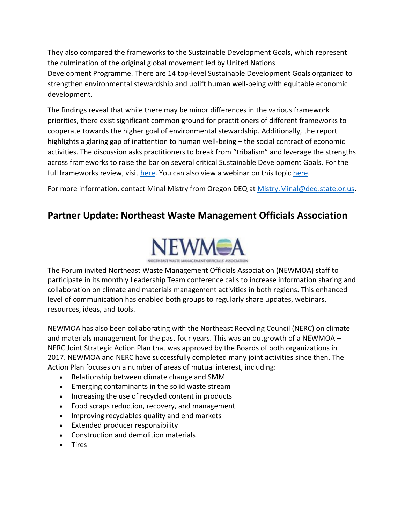They also compared the frameworks to the Sustainable Development Goals, which represent the culmination of the original global movement led by United Nations Development Programme. There are 14 top-level Sustainable Development Goals organized to strengthen environmental stewardship and uplift human well-being with equitable economic development.

The findings reveal that while there may be minor differences in the various framework priorities, there exist significant common ground for practitioners of different frameworks to cooperate towards the higher goal of environmental stewardship. Additionally, the report highlights a glaring gap of inattention to human well-being – the social contract of economic activities. The discussion asks practitioners to break from "tribalism" and leverage the strengths across frameworks to raise the bar on several critical Sustainable Development Goals. For the full frameworks review, visit [here.](https://www.oregon.gov/deq/FilterDocs/mm-matsust.pdf) You can also view a webinar on this topic [here.](https://westcoastclimateforum.com/content/2018-19-forum-webinar-series-recordings-and-files)

For more information, contact Minal Mistry from Oregon DEQ at [Mistry.Minal@deq.state.or.us.](mailto:Mistry.Minal@deq.state.or.us)

# <span id="page-6-0"></span>**Partner Update: Northeast Waste Management Officials Association**



The Forum invited Northeast Waste Management Officials Association (NEWMOA) staff to participate in its monthly Leadership Team conference calls to increase information sharing and collaboration on climate and materials management activities in both regions. This enhanced level of communication has enabled both groups to regularly share updates, webinars, resources, ideas, and tools.

NEWMOA has also been collaborating with the Northeast Recycling Council (NERC) on climate and materials management for the past four years. This was an outgrowth of a NEWMOA – NERC Joint Strategic Action Plan that was approved by the Boards of both organizations in 2017. NEWMOA and NERC have successfully completed many joint activities since then. The Action Plan focuses on a number of areas of mutual interest, including:

- Relationship between climate change and SMM
- Emerging contaminants in the solid waste stream
- Increasing the use of recycled content in products
- Food scraps reduction, recovery, and management
- Improving recyclables quality and end markets
- Extended producer responsibility
- Construction and demolition materials
- Tires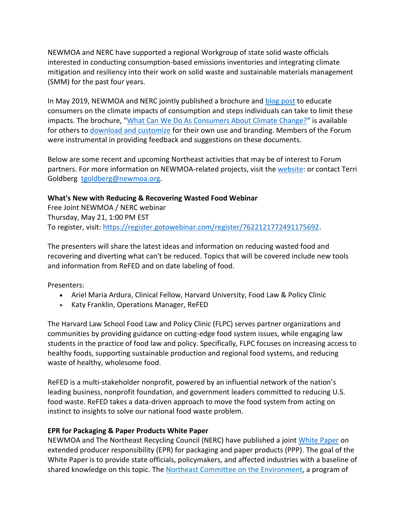NEWMOA and NERC have supported a regional Workgroup of state solid waste officials interested in conducting consumption-based emissions inventories and integrating climate mitigation and resiliency into their work on solid waste and sustainable materials management (SMM) for the past four years.

In May 2019, NEWMOA and NERC jointly published a brochure and [blog post](https://nerc.org/news-and-updates/blog/nerc-blog/2019/06/04/what-can-we-do-as-consumers-about-climate-change) to educate consumers on the climate impacts of consumption and steps individuals can take to limit these impacts. The brochure, ["What Can We Do As Consumers About Climate Change?"](http://www.newmoa.org/solidwaste/projects/climate/ClimateChange_brochure.pdf) is available for others to [download and customize](http://www.newmoa.org/solidwaste/projects/climate/ClimateChange_brochure_fillable.pdf) for their own use and branding. Members of the Forum were instrumental in providing feedback and suggestions on these documents.

Below are some recent and upcoming Northeast activities that may be of interest to Forum partners. For more information on NEWMOA-related projects, visit the [website:](http://www.newmoa.org/solidwaste/projects/climate/) or contact Terri Goldberg [tgoldberg@newmoa.org.](mailto:tgoldberg@newmoa.org)

#### **What's New with Reducing & Recovering Wasted Food Webinar**

Free Joint NEWMOA / NERC webinar Thursday, May 21, 1:00 PM EST To register, visit: [https://register.gotowebinar.com/register/7622121772491175692.](https://register.gotowebinar.com/register/7622121772491175692)

The presenters will share the latest ideas and information on reducing wasted food and recovering and diverting what can't be reduced. Topics that will be covered include new tools and information from ReFED and on date labeling of food.

Presenters:

- Ariel Maria Ardura, Clinical Fellow, Harvard University, Food Law & Policy Clinic
- Katy Franklin, Operations Manager, ReFED

The Harvard Law School Food Law and Policy Clinic (FLPC) serves partner organizations and communities by providing guidance on cutting-edge food system issues, while engaging law students in the practice of food law and policy. Specifically, FLPC focuses on increasing access to healthy foods, supporting sustainable production and regional food systems, and reducing waste of healthy, wholesome food.

ReFED is a multi-stakeholder nonprofit, powered by an influential network of the nation's leading business, nonprofit foundation, and government leaders committed to reducing U.S. food waste. ReFED takes a data-driven approach to move the food system from acting on instinct to insights to solve our national food waste problem.

#### **EPR for Packaging & Paper Products White Paper**

NEWMOA and The Northeast Recycling Council (NERC) have published a joint [White Paper](http://www.newmoa.org/solidwaste/EPR_for_PPP_White_Paper.pdf) on extended producer responsibility (EPR) for packaging and paper products (PPP). The goal of the White Paper is to provide state officials, policymakers, and affected industries with a baseline of shared knowledge on this topic. The [Northeast Committee on the Environment,](https://www.coneg.org/who-we-are/about-neg-ecp/) a program of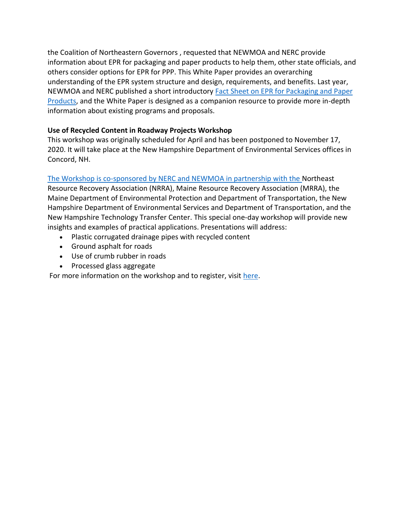the Coalition of Northeastern Governors , requested that NEWMOA and NERC provide information about EPR for packaging and paper products to help them, other state officials, and others consider options for EPR for PPP. This White Paper provides an overarching understanding of the EPR system structure and design, requirements, and benefits. Last year, NEWMOA and NERC published a short introductory [Fact Sheet on EPR for Packaging and Paper](http://www.newmoa.org/solidwaste/NEWMOA_PPP_flyer.pdf)  [Products,](http://www.newmoa.org/solidwaste/NEWMOA_PPP_flyer.pdf) and the White Paper is designed as a companion resource to provide more in-depth information about existing programs and proposals.

#### **Use of Recycled Content in Roadway Projects Workshop**

This workshop was originally scheduled for April and has been postponed to November 17, 2020. It will take place at the New Hampshire Department of Environmental Services offices in Concord, NH.

The Workshop is co-sponsored by NERC and NEWMOA in partnership with the Northeast

Resource Recovery Association (NRRA), Maine Resource Recovery Association (MRRA), the Maine Department of Environmental Protection and Department of Transportation, the New Hampshire Department of Environmental Services and Department of Transportation, and the New Hampshire Technology Transfer Center. This special one-day workshop will provide new insights and examples of practical applications. Presentations will address:

- Plastic corrugated drainage pipes with recycled content
- Ground asphalt for roads
- Use of crumb rubber in roads
- Processed glass aggregate

For more information on the workshop and to register, visit [here.](https://nerc.org/special-event/workshop-november-2020)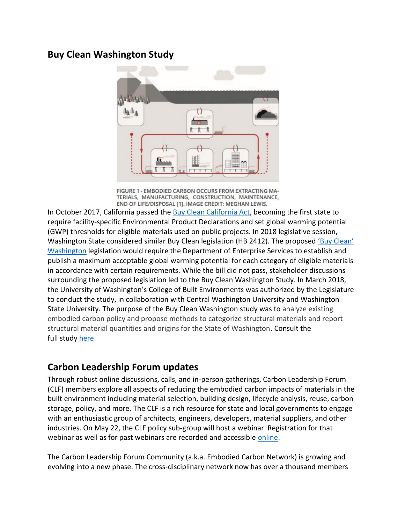## <span id="page-9-0"></span>**Buy Clean Washington Study**



FIGURE 1 - EMBODIED CARBON OCCURS FROM EXTRACTING MA-TERIALS, MANUFACTURING, CONSTRUCTION, MAINTENANCE, END OF LIFE/DISPOSAL [1]. IMAGE CREDIT: MEGHAN LEWIS.

In October 2017, California passed the [Buy Clean California Act,](https://www.dgs.ca.gov/PD/Resources/Page-Content/Procurement-Division-Resources-List-Folder/Buy-Clean-California-Act) becoming the first state to require facility-specific Environmental Product Declarations and set global warming potential (GWP) thresholds for eligible materials used on public projects. In 2018 legislative session, Washington State considered similar Buy Clean legislation (HB 2412). The proposed ['Buy Clean'](https://app.leg.wa.gov/billsummary?BillNumber=2412&Year=2017)  [Washington](https://app.leg.wa.gov/billsummary?BillNumber=2412&Year=2017) legislation would require the Department of Enterprise Services to establish and publish a maximum acceptable global warming potential for each category of eligible materials in accordance with certain requirements. While the bill did not pass, stakeholder discussions surrounding the proposed legislation led to the Buy Clean Washington Study. In March 2018, the University of Washington's College of Built Environments was authorized by the Legislature to conduct the study, in collaboration with Central Washington University and Washington State University. The purpose of the Buy Clean Washington study was to analyze existing embodied carbon policy and propose methods to categorize structural materials and report structural material quantities and origins for the State of Washington. Consult the full study [here.](http://www.carbonleadershipforum.org/projects/buy-clean-washington/)

### <span id="page-9-1"></span>**Carbon Leadership Forum updates**

Through robust online discussions, calls, and in-person gatherings, Carbon Leadership Forum (CLF) members explore all aspects of reducing the embodied carbon impacts of materials in the built environment including material selection, building design, lifecycle analysis, reuse, carbon storage, policy, and more. The CLF is a rich resource for state and local governments to engage with an enthusiastic group of architects, engineers, developers, material suppliers, and other industries. On May 22, the CLF policy sub-group will host a webinar Registration for that webinar as well as for past webinars are recorded and accessible [online.](http://carbonleadershipforum.org/community/webinars/)

The Carbon Leadership Forum Community (a.k.a. Embodied Carbon Network) is growing and evolving into a new phase. The cross-disciplinary network now has over a thousand members